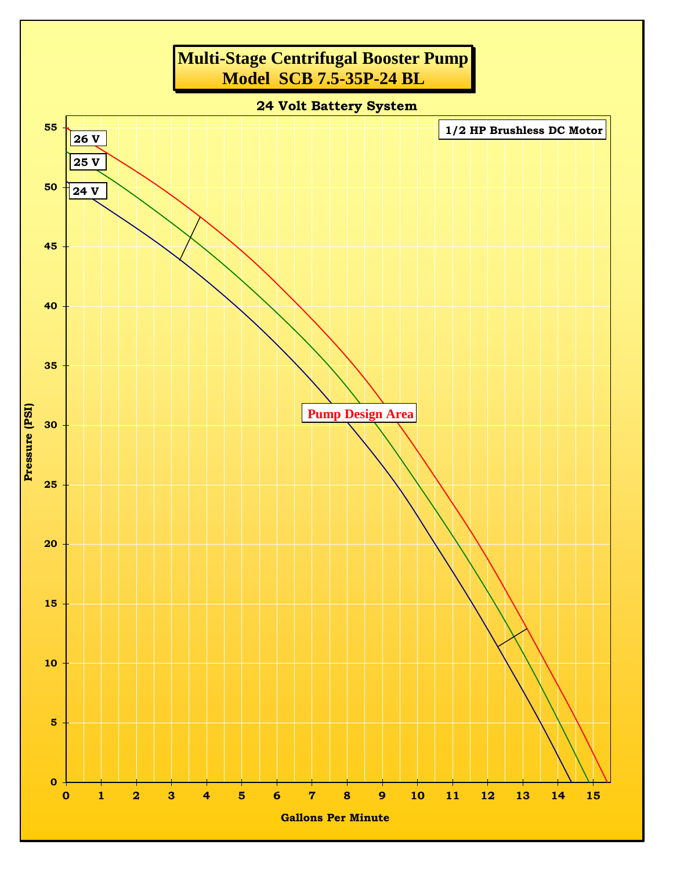